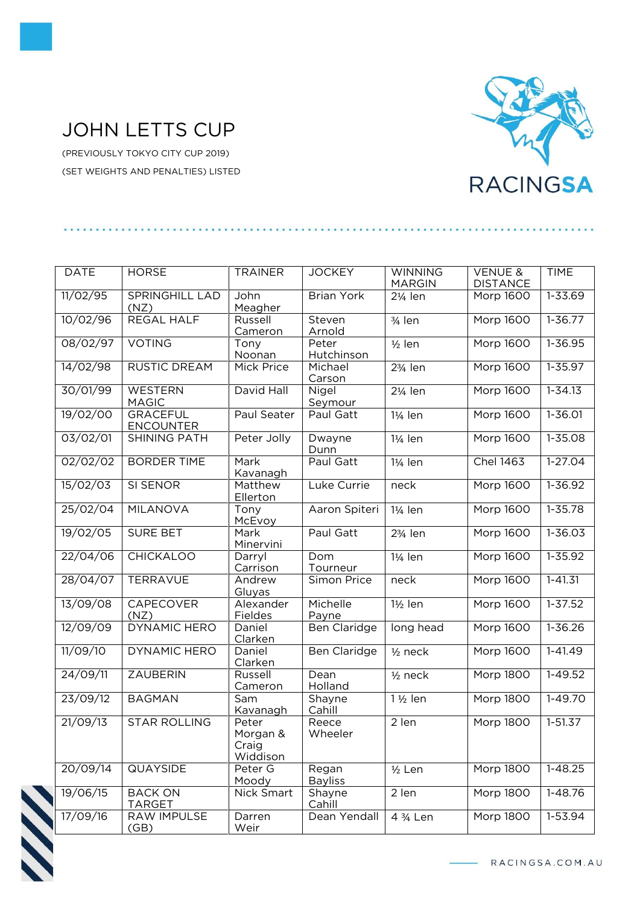## JOHN LETTS CUP

(PREVIOUSLY TOKYO CITY CUP 2019) (SET WEIGHTS AND PENALTIES) LISTED



| <b>DATE</b> | <b>HORSE</b>                        | <b>TRAINER</b>                         | <b>JOCKEY</b>           | <b>WINNING</b>       | <b>VENUE &amp;</b> | <b>TIME</b> |
|-------------|-------------------------------------|----------------------------------------|-------------------------|----------------------|--------------------|-------------|
|             |                                     |                                        |                         | <b>MARGIN</b>        | <b>DISTANCE</b>    |             |
| 11/02/95    | <b>SPRINGHILL LAD</b><br>(NZ)       | John<br>Meagher                        | <b>Brian York</b>       | 21/ <sub>4</sub> len | Morp 1600          | 1-33.69     |
| 10/02/96    | <b>REGAL HALF</b>                   | Russell<br>Cameron                     | Steven<br>Arnold        | 3/ <sub>4</sub> len  | <b>Morp 1600</b>   | $1 - 36.77$ |
| 08/02/97    | <b>VOTING</b>                       | Tony<br>Noonan                         | Peter<br>Hutchinson     | $\frac{1}{2}$ len    | <b>Morp 1600</b>   | $1 - 36.95$ |
| 14/02/98    | <b>RUSTIC DREAM</b>                 | <b>Mick Price</b>                      | Michael<br>Carson       | 23/ <sub>4</sub> len | <b>Morp 1600</b>   | $1 - 35.97$ |
| 30/01/99    | <b>WESTERN</b><br><b>MAGIC</b>      | David Hall                             | Nigel<br><b>Seymour</b> | 21/ <sub>4</sub> len | <b>Morp 1600</b>   | $1 - 34.13$ |
| 19/02/00    | <b>GRACEFUL</b><br><b>ENCOUNTER</b> | Paul Seater                            | Paul Gatt               | 11/ <sub>4</sub> len | Morp 1600          | 1-36.01     |
| 03/02/01    | <b>SHINING PATH</b>                 | Peter Jolly                            | Dwayne<br>Dunn          | 1¼ len               | Morp 1600          | $1 - 35.08$ |
| 02/02/02    | <b>BORDER TIME</b>                  | Mark<br>Kavanagh                       | Paul Gatt               | 11/ <sub>4</sub> len | <b>Chel 1463</b>   | $1-27.04$   |
| 15/02/03    | <b>SI SENOR</b>                     | Matthew<br>Ellerton                    | Luke Currie             | neck                 | <b>Morp 1600</b>   | $1 - 36.92$ |
| 25/02/04    | <b>MILANOVA</b>                     | Tony<br>McEvoy                         | Aaron Spiteri           | 11/ <sub>4</sub> len | <b>Morp 1600</b>   | $1 - 35.78$ |
| 19/02/05    | <b>SURE BET</b>                     | Mark<br>Minervini                      | Paul Gatt               | 23/ <sub>4</sub> len | <b>Morp 1600</b>   | $1 - 36.03$ |
| 22/04/06    | <b>CHICKALOO</b>                    | Darryl<br>Carrison                     | Dom<br>Tourneur         | 1¼ len               | <b>Morp 1600</b>   | $1 - 35.92$ |
| 28/04/07    | TERRAVUE                            | Andrew<br>Gluyas                       | Simon Price             | neck                 | Morp 1600          | $1 - 41.31$ |
| 13/09/08    | <b>CAPECOVER</b><br>(NZ)            | Alexander<br>Fieldes                   | Michelle<br>Payne       | 1½ len               | <b>Morp 1600</b>   | $1 - 37.52$ |
| 12/09/09    | DYNAMIC HERO                        | Daniel<br>Clarken                      | <b>Ben Claridge</b>     | long head            | <b>Morp 1600</b>   | $1 - 36.26$ |
| 11/09/10    | DYNAMIC HERO                        | Daniel<br>Clarken                      | Ben Claridge            | $1/2$ neck           | Morp 1600          | $1 - 41.49$ |
| 24/09/11    | <b>ZAUBERIN</b>                     | Russell<br>Cameron                     | Dean<br>Holland         | $1/2$ neck           | <b>Morp 1800</b>   | $1 - 49.52$ |
| 23/09/12    | <b>BAGMAN</b>                       | Sam<br>Kavanagh                        | Shayne<br>Cahill        | $1\frac{1}{2}$ len   | Morp 1800          | $1-49.70$   |
| 21/09/13    | <b>STAR ROLLING</b>                 | Peter<br>Morgan &<br>Craig<br>Widdison | Reece<br>Wheeler        | 2 len                | Morp 1800          | $1 - 51.37$ |
| 20/09/14    | <b>QUAYSIDE</b>                     | Peter G<br>Moody                       | Regan<br><b>Bayliss</b> | $1/2$ Len            | Morp 1800          | $1 - 48.25$ |
| 19/06/15    | <b>BACK ON</b><br><b>TARGET</b>     | Nick Smart                             | Shayne<br>Cahill        | 2 len                | Morp 1800          | $1 - 48.76$ |
| 17/09/16    | RAW IMPULSE<br>(GB)                 | Darren<br>Weir                         | Dean Yendall            | 4 3/4 Len            | Morp 1800          | 1-53.94     |



RACINGSA.COM.AU